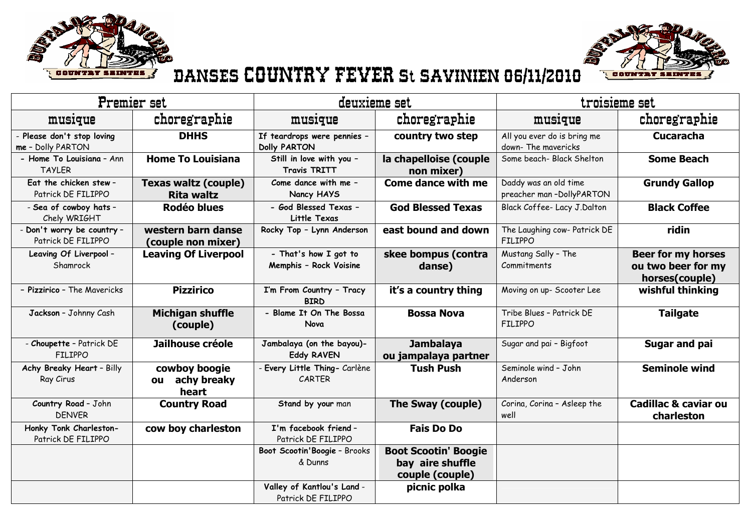



## DANSES COUNTRY FEVER St SAVINIEN 06/11/2010

| Premier set                                      |                                                  | deuxieme set                                       |                                                                    | troisieme set                                      |                                                                   |  |
|--------------------------------------------------|--------------------------------------------------|----------------------------------------------------|--------------------------------------------------------------------|----------------------------------------------------|-------------------------------------------------------------------|--|
| musique                                          | choregraphie                                     | musique                                            | choregraphie                                                       | musique                                            | choregraphie                                                      |  |
| Please don't stop loving<br>me - Dolly PARTON    | <b>DHHS</b>                                      | If teardrops were pennies -<br><b>Dolly PARTON</b> | country two step                                                   | All you ever do is bring me<br>down- The mavericks | <b>Cucaracha</b>                                                  |  |
| - Home To Louisiana - Ann<br><b>TAYLER</b>       | <b>Home To Louisiana</b>                         | Still in love with you -<br><b>Travis TRITT</b>    | la chapelloise (couple<br>non mixer)                               | Some beach- Black Shelton                          | <b>Some Beach</b>                                                 |  |
| Eat the chicken stew-<br>Patrick DE FILIPPO      | <b>Texas waltz (couple)</b><br><b>Rita waltz</b> | Come dance with me -<br>Nancy HAYS                 | <b>Come dance with me</b>                                          | Daddy was an old time<br>preacher man-DollyPARTON  | <b>Grundy Gallop</b>                                              |  |
| - Sea of cowboy hats -<br>Chely WRIGHT           | Rodéo blues                                      | - God Blessed Texas -<br>Little Texas              | <b>God Blessed Texas</b>                                           | Black Coffee- Lacy J.Dalton                        | <b>Black Coffee</b>                                               |  |
| - Don't worry be country -<br>Patrick DE FILIPPO | western barn danse<br>(couple non mixer)         | Rocky Top - Lynn Anderson                          | east bound and down                                                | The Laughing cow- Patrick DE<br><b>FILIPPO</b>     | ridin                                                             |  |
| Leaving Of Liverpool -<br>Shamrock               | <b>Leaving Of Liverpool</b>                      | - That's how I got to<br>Memphis - Rock Voisine    | skee bompus (contra<br>danse)                                      | Mustang Sally - The<br>Commitments                 | <b>Beer for my horses</b><br>ou two beer for my<br>horses(couple) |  |
| - Pizzirico - The Mavericks                      | <b>Pizzirico</b>                                 | I'm From Country - Tracy<br><b>BIRD</b>            | it's a country thing                                               | Moving on up- Scooter Lee                          | wishful thinking                                                  |  |
| Jackson - Johnny Cash                            | <b>Michigan shuffle</b><br>(couple)              | - Blame It On The Bossa<br>Nova                    | <b>Bossa Nova</b>                                                  | Tribe Blues - Patrick DE<br><b>FILIPPO</b>         | <b>Tailgate</b>                                                   |  |
| - Choupette - Patrick DE<br><b>FILIPPO</b>       | Jailhouse créole                                 | Jambalaya (on the bayou)-<br><b>Eddy RAVEN</b>     | <b>Jambalaya</b><br>ou jampalaya partner                           | Sugar and pai - Bigfoot                            | <b>Sugar and pai</b>                                              |  |
| Achy Breaky Heart - Billy<br>Ray Cirus           | cowboy boogie<br>achy breaky<br>ou<br>heart      | Every Little Thing- Carlène<br>CARTER              | <b>Tush Push</b>                                                   | Seminole wind - John<br>Anderson                   | <b>Seminole wind</b>                                              |  |
| Country Road - John<br><b>DENVER</b>             | <b>Country Road</b>                              | Stand by your man                                  | The Sway (couple)                                                  | Corina, Corina - Asleep the<br>well                | <b>Cadillac &amp; caviar ou</b><br>charleston                     |  |
| Honky Tonk Charleston-<br>Patrick DE FILIPPO     | cow boy charleston                               | I'm facebook friend -<br>Patrick DE FILIPPO        | <b>Fais Do Do</b>                                                  |                                                    |                                                                   |  |
|                                                  |                                                  | Boot Scootin'Boogie - Brooks<br>& Dunns            | <b>Boot Scootin' Boogie</b><br>bay aire shuffle<br>couple (couple) |                                                    |                                                                   |  |
|                                                  |                                                  | Valley of Kantlou's Land -<br>Patrick DE FILIPPO   | picnic polka                                                       |                                                    |                                                                   |  |